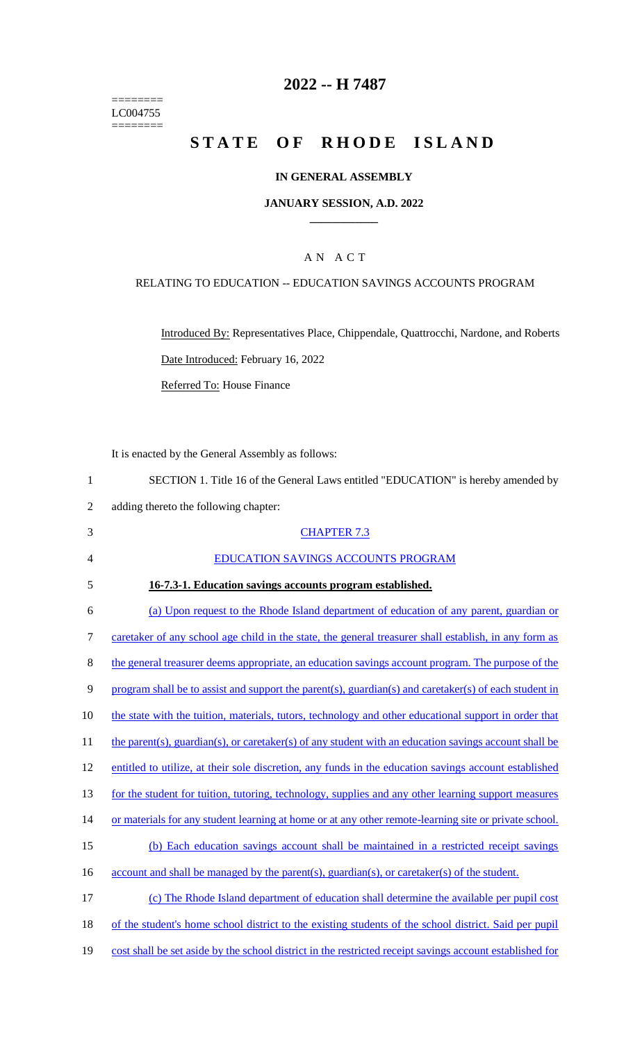======== LC004755 ========

### **2022 -- H 7487**

# **STATE OF RHODE ISLAND**

#### **IN GENERAL ASSEMBLY**

#### **JANUARY SESSION, A.D. 2022 \_\_\_\_\_\_\_\_\_\_\_\_**

#### A N A C T

#### RELATING TO EDUCATION -- EDUCATION SAVINGS ACCOUNTS PROGRAM

Introduced By: Representatives Place, Chippendale, Quattrocchi, Nardone, and Roberts Date Introduced: February 16, 2022 Referred To: House Finance

It is enacted by the General Assembly as follows:

 SECTION 1. Title 16 of the General Laws entitled "EDUCATION" is hereby amended by adding thereto the following chapter: CHAPTER 7.3 EDUCATION SAVINGS ACCOUNTS PROGRAM **16-7.3-1. Education savings accounts program established.**  (a) Upon request to the Rhode Island department of education of any parent, guardian or

7 caretaker of any school age child in the state, the general treasurer shall establish, in any form as 8 the general treasurer deems appropriate, an education savings account program. The purpose of the 9 program shall be to assist and support the parent(s), guardian(s) and caretaker(s) of each student in 10 the state with the tuition, materials, tutors, technology and other educational support in order that 11 the parent(s), guardian(s), or caretaker(s) of any student with an education savings account shall be 12 entitled to utilize, at their sole discretion, any funds in the education savings account established 13 for the student for tuition, tutoring, technology, supplies and any other learning support measures 14 or materials for any student learning at home or at any other remote-learning site or private school. 15 (b) Each education savings account shall be maintained in a restricted receipt savings 16 account and shall be managed by the parent(s), guardian(s), or caretaker(s) of the student. 17 (c) The Rhode Island department of education shall determine the available per pupil cost 18 of the student's home school district to the existing students of the school district. Said per pupil

19 cost shall be set aside by the school district in the restricted receipt savings account established for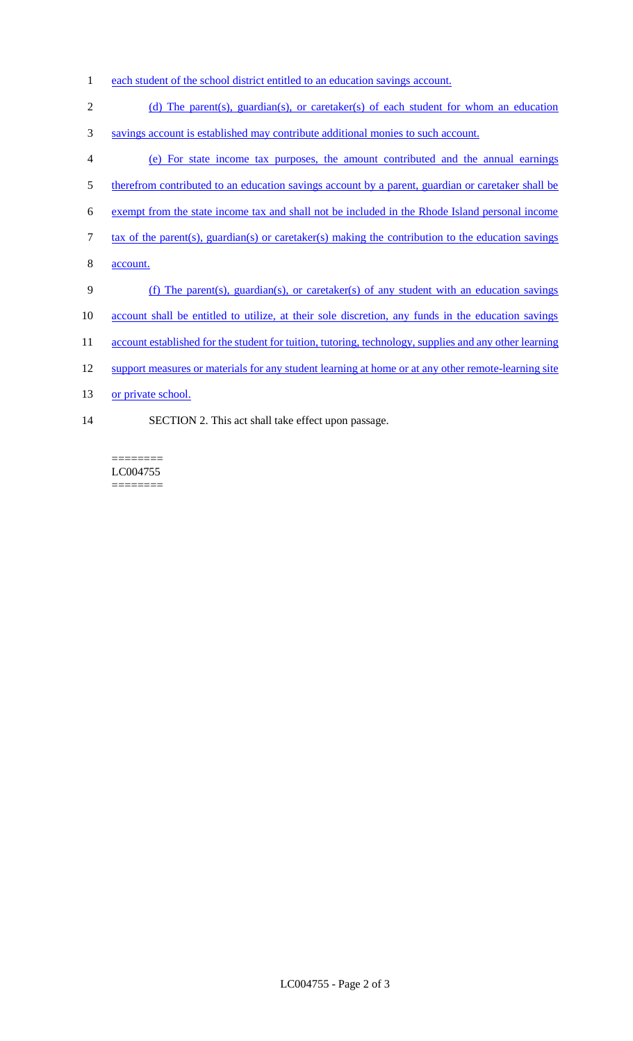- 1 each student of the school district entitled to an education savings account.
- 2 (d) The parent(s), guardian(s), or caretaker(s) of each student for whom an education
- 3 savings account is established may contribute additional monies to such account.
- 4 (e) For state income tax purposes, the amount contributed and the annual earnings
- 5 therefrom contributed to an education savings account by a parent, guardian or caretaker shall be
- 6 exempt from the state income tax and shall not be included in the Rhode Island personal income
- 7 tax of the parent(s), guardian(s) or caretaker(s) making the contribution to the education savings
- 8 account.
- 9 (f) The parent(s), guardian(s), or caretaker(s) of any student with an education savings
- 10 account shall be entitled to utilize, at their sole discretion, any funds in the education savings
- 11 account established for the student for tuition, tutoring, technology, supplies and any other learning
- 12 support measures or materials for any student learning at home or at any other remote-learning site
- 13 or private school.
- 14 SECTION 2. This act shall take effect upon passage.

======== LC004755 ========